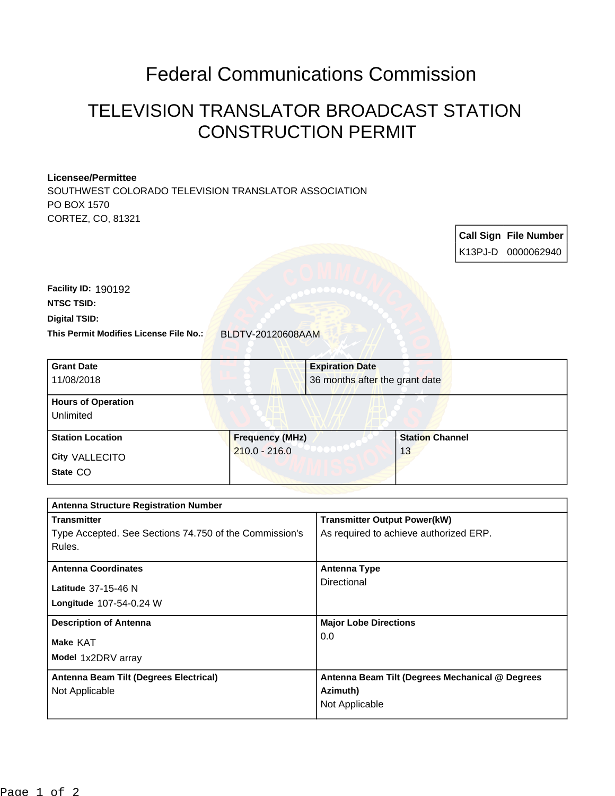## Federal Communications Commission

## TELEVISION TRANSLATOR BROADCAST STATION CONSTRUCTION PERMIT

## **Licensee/Permittee**

SOUTHWEST COLORADO TELEVISION TRANSLATOR ASSOCIATION PO BOX 1570 CORTEZ, CO, 81321

> **Call Sign File Number** K13PJ-D 0000062940

**This Permit Modifies License File No.:** BLDTV-20120608AAM **Digital TSID: NTSC TSID: Facility ID:** 190192

| <b>Grant Date</b><br>11/08/2018        | <b>Expiration Date</b><br>36 months after the grant date |                        |
|----------------------------------------|----------------------------------------------------------|------------------------|
| <b>Hours of Operation</b><br>Unlimited |                                                          |                        |
| <b>Station Location</b>                | <b>Frequency (MHz)</b><br>_ _ _ _ _ _ _ _                | <b>Station Channel</b> |

**State** CO **City** VALLECITO 210.0 - 216.0 13

| <b>Antenna Structure Registration Number</b>           |                                                 |  |  |
|--------------------------------------------------------|-------------------------------------------------|--|--|
| <b>Transmitter</b>                                     | <b>Transmitter Output Power(kW)</b>             |  |  |
| Type Accepted. See Sections 74.750 of the Commission's | As required to achieve authorized ERP.          |  |  |
| Rules.                                                 |                                                 |  |  |
|                                                        |                                                 |  |  |
| <b>Antenna Coordinates</b>                             | <b>Antenna Type</b>                             |  |  |
| Latitude 37-15-46 N                                    | Directional                                     |  |  |
| <b>Longitude 107-54-0.24 W</b>                         |                                                 |  |  |
| <b>Description of Antenna</b>                          | <b>Major Lobe Directions</b>                    |  |  |
| Make KAT                                               | 0.0                                             |  |  |
| Model 1x2DRV array                                     |                                                 |  |  |
| Antenna Beam Tilt (Degrees Electrical)                 | Antenna Beam Tilt (Degrees Mechanical @ Degrees |  |  |
| Not Applicable                                         | Azimuth)                                        |  |  |
|                                                        | Not Applicable                                  |  |  |